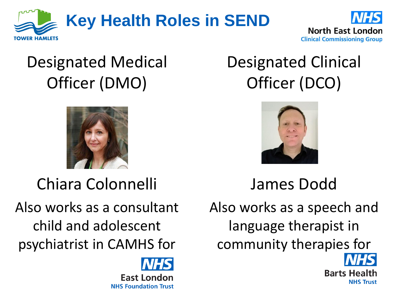



## Designated Medical Officer (DMO)



Chiara Colonnelli

Also works as a consultant child and adolescent psychiatrist in CAMHS for

> **East London NHS Foundation Trust**

## Designated Clinical Officer (DCO)



James Dodd

Also works as a speech and language therapist in community therapies for

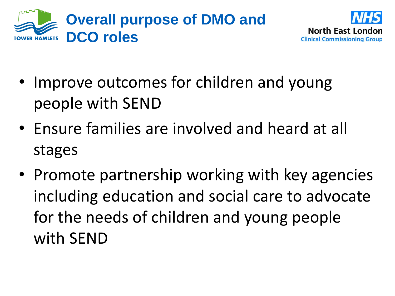



- Improve outcomes for children and young people with SEND
- Ensure families are involved and heard at all stages
- Promote partnership working with key agencies including education and social care to advocate for the needs of children and young people with SEND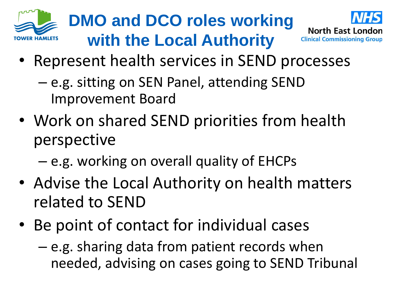





- Represent health services in SEND processes
	- e.g. sitting on SEN Panel, attending SEND Improvement Board
- Work on shared SEND priorities from health perspective
	- e.g. working on overall quality of EHCPs
- Advise the Local Authority on health matters related to SEND
- Be point of contact for individual cases
	- e.g. sharing data from patient records when needed, advising on cases going to SEND Tribunal